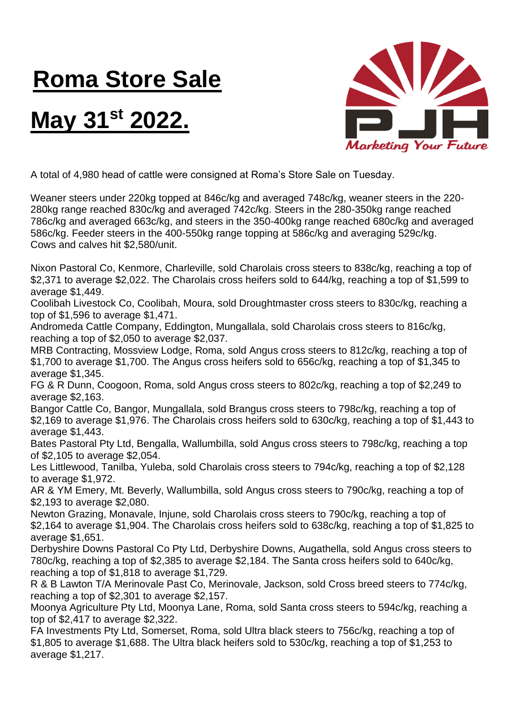## **Roma Store Sale**

## **May 31st 2022.**



A total of 4,980 head of cattle were consigned at Roma's Store Sale on Tuesday.

Weaner steers under 220kg topped at 846c/kg and averaged 748c/kg, weaner steers in the 220- 280kg range reached 830c/kg and averaged 742c/kg. Steers in the 280-350kg range reached 786c/kg and averaged 663c/kg, and steers in the 350-400kg range reached 680c/kg and averaged 586c/kg. Feeder steers in the 400-550kg range topping at 586c/kg and averaging 529c/kg. Cows and calves hit \$2,580/unit.

Nixon Pastoral Co, Kenmore, Charleville, sold Charolais cross steers to 838c/kg, reaching a top of \$2,371 to average \$2,022. The Charolais cross heifers sold to 644/kg, reaching a top of \$1,599 to average \$1,449.

Coolibah Livestock Co, Coolibah, Moura, sold Droughtmaster cross steers to 830c/kg, reaching a top of \$1,596 to average \$1,471.

Andromeda Cattle Company, Eddington, Mungallala, sold Charolais cross steers to 816c/kg, reaching a top of \$2,050 to average \$2,037.

MRB Contracting, Mossview Lodge, Roma, sold Angus cross steers to 812c/kg, reaching a top of \$1,700 to average \$1,700. The Angus cross heifers sold to 656c/kg, reaching a top of \$1,345 to average \$1,345.

FG & R Dunn, Coogoon, Roma, sold Angus cross steers to 802c/kg, reaching a top of \$2,249 to average \$2,163.

Bangor Cattle Co, Bangor, Mungallala, sold Brangus cross steers to 798c/kg, reaching a top of \$2,169 to average \$1,976. The Charolais cross heifers sold to 630c/kg, reaching a top of \$1,443 to average \$1,443.

Bates Pastoral Pty Ltd, Bengalla, Wallumbilla, sold Angus cross steers to 798c/kg, reaching a top of \$2,105 to average \$2,054.

Les Littlewood, Tanilba, Yuleba, sold Charolais cross steers to 794c/kg, reaching a top of \$2,128 to average \$1,972.

AR & YM Emery, Mt. Beverly, Wallumbilla, sold Angus cross steers to 790c/kg, reaching a top of \$2,193 to average \$2,080.

Newton Grazing, Monavale, Injune, sold Charolais cross steers to 790c/kg, reaching a top of \$2,164 to average \$1,904. The Charolais cross heifers sold to 638c/kg, reaching a top of \$1,825 to average \$1,651.

Derbyshire Downs Pastoral Co Pty Ltd, Derbyshire Downs, Augathella, sold Angus cross steers to 780c/kg, reaching a top of \$2,385 to average \$2,184. The Santa cross heifers sold to 640c/kg, reaching a top of \$1,818 to average \$1,729.

R & B Lawton T/A Merinovale Past Co, Merinovale, Jackson, sold Cross breed steers to 774c/kg, reaching a top of \$2,301 to average \$2,157.

Moonya Agriculture Pty Ltd, Moonya Lane, Roma, sold Santa cross steers to 594c/kg, reaching a top of \$2,417 to average \$2,322.

FA Investments Pty Ltd, Somerset, Roma, sold Ultra black steers to 756c/kg, reaching a top of \$1,805 to average \$1,688. The Ultra black heifers sold to 530c/kg, reaching a top of \$1,253 to average \$1,217.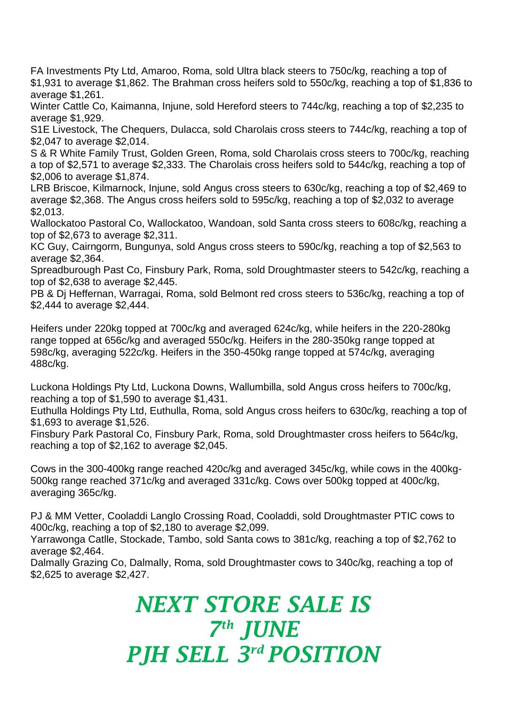FA Investments Pty Ltd, Amaroo, Roma, sold Ultra black steers to 750c/kg, reaching a top of \$1,931 to average \$1,862. The Brahman cross heifers sold to 550c/kg, reaching a top of \$1,836 to average \$1,261.

Winter Cattle Co, Kaimanna, Injune, sold Hereford steers to 744c/kg, reaching a top of \$2,235 to average \$1,929.

S1E Livestock, The Chequers, Dulacca, sold Charolais cross steers to 744c/kg, reaching a top of \$2,047 to average \$2,014.

S & R White Family Trust, Golden Green, Roma, sold Charolais cross steers to 700c/kg, reaching a top of \$2,571 to average \$2,333. The Charolais cross heifers sold to 544c/kg, reaching a top of \$2,006 to average \$1,874.

LRB Briscoe, Kilmarnock, Injune, sold Angus cross steers to 630c/kg, reaching a top of \$2,469 to average \$2,368. The Angus cross heifers sold to 595c/kg, reaching a top of \$2,032 to average \$2,013.

Wallockatoo Pastoral Co, Wallockatoo, Wandoan, sold Santa cross steers to 608c/kg, reaching a top of \$2,673 to average \$2,311.

KC Guy, Cairngorm, Bungunya, sold Angus cross steers to 590c/kg, reaching a top of \$2,563 to average \$2,364.

Spreadburough Past Co, Finsbury Park, Roma, sold Droughtmaster steers to 542c/kg, reaching a top of \$2,638 to average \$2,445.

PB & Dj Heffernan, Warragai, Roma, sold Belmont red cross steers to 536c/kg, reaching a top of \$2,444 to average \$2,444.

Heifers under 220kg topped at 700c/kg and averaged 624c/kg, while heifers in the 220-280kg range topped at 656c/kg and averaged 550c/kg. Heifers in the 280-350kg range topped at 598c/kg, averaging 522c/kg. Heifers in the 350-450kg range topped at 574c/kg, averaging 488c/kg.

Luckona Holdings Pty Ltd, Luckona Downs, Wallumbilla, sold Angus cross heifers to 700c/kg, reaching a top of \$1,590 to average \$1,431.

Euthulla Holdings Pty Ltd, Euthulla, Roma, sold Angus cross heifers to 630c/kg, reaching a top of \$1,693 to average \$1,526.

Finsbury Park Pastoral Co, Finsbury Park, Roma, sold Droughtmaster cross heifers to 564c/kg, reaching a top of \$2,162 to average \$2,045.

Cows in the 300-400kg range reached 420c/kg and averaged 345c/kg, while cows in the 400kg-500kg range reached 371c/kg and averaged 331c/kg. Cows over 500kg topped at 400c/kg, averaging 365c/kg.

PJ & MM Vetter, Cooladdi Langlo Crossing Road, Cooladdi, sold Droughtmaster PTIC cows to 400c/kg, reaching a top of \$2,180 to average \$2,099.

Yarrawonga Catlle, Stockade, Tambo, sold Santa cows to 381c/kg, reaching a top of \$2,762 to average \$2,464.

Dalmally Grazing Co, Dalmally, Roma, sold Droughtmaster cows to 340c/kg, reaching a top of \$2,625 to average \$2,427.

## *NEXT STORE SALE IS 7 th JUNE PJH SELL 3 rd POSITION*